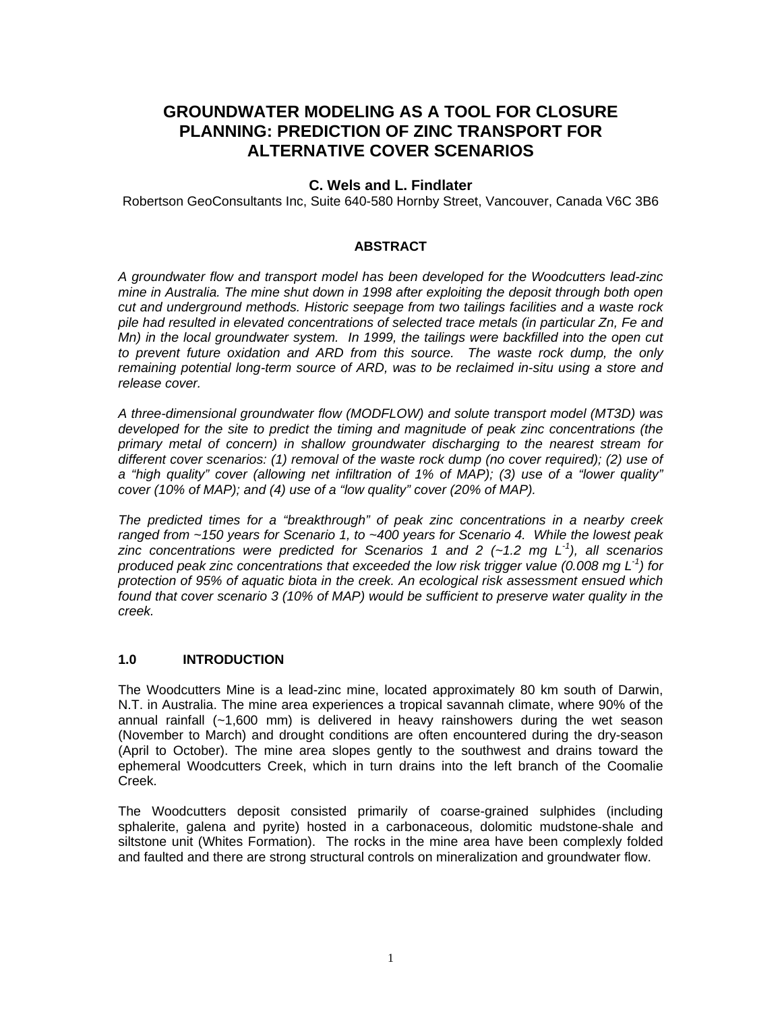# **GROUNDWATER MODELING AS A TOOL FOR CLOSURE PLANNING: PREDICTION OF ZINC TRANSPORT FOR ALTERNATIVE COVER SCENARIOS**

# **C. Wels and L. Findlater**

Robertson GeoConsultants Inc, Suite 640-580 Hornby Street, Vancouver, Canada V6C 3B6

# **ABSTRACT**

*A groundwater flow and transport model has been developed for the Woodcutters lead-zinc mine in Australia. The mine shut down in 1998 after exploiting the deposit through both open cut and underground methods. Historic seepage from two tailings facilities and a waste rock pile had resulted in elevated concentrations of selected trace metals (in particular Zn, Fe and Mn) in the local groundwater system. In 1999, the tailings were backfilled into the open cut*  to prevent future oxidation and ARD from this source. The waste rock dump, the only *remaining potential long-term source of ARD, was to be reclaimed in-situ using a store and release cover.* 

*A three-dimensional groundwater flow (MODFLOW) and solute transport model (MT3D) was developed for the site to predict the timing and magnitude of peak zinc concentrations (the primary metal of concern) in shallow groundwater discharging to the nearest stream for different cover scenarios: (1) removal of the waste rock dump (no cover required); (2) use of a "high quality" cover (allowing net infiltration of 1% of MAP); (3) use of a "lower quality" cover (10% of MAP); and (4) use of a "low quality" cover (20% of MAP).* 

*The predicted times for a "breakthrough" of peak zinc concentrations in a nearby creek ranged from ~150 years for Scenario 1, to ~400 years for Scenario 4. While the lowest peak zinc concentrations were predicted for Scenarios 1 and 2 (~1.2 mg L-1), all scenarios produced peak zinc concentrations that exceeded the low risk trigger value (0.008 mg L-1) for protection of 95% of aquatic biota in the creek. An ecological risk assessment ensued which found that cover scenario 3 (10% of MAP) would be sufficient to preserve water quality in the creek.* 

# **1.0 INTRODUCTION**

The Woodcutters Mine is a lead-zinc mine, located approximately 80 km south of Darwin, N.T. in Australia. The mine area experiences a tropical savannah climate, where 90% of the annual rainfall  $(-1,600 \text{ mm})$  is delivered in heavy rainshowers during the wet season (November to March) and drought conditions are often encountered during the dry-season (April to October). The mine area slopes gently to the southwest and drains toward the ephemeral Woodcutters Creek, which in turn drains into the left branch of the Coomalie Creek.

The Woodcutters deposit consisted primarily of coarse-grained sulphides (including sphalerite, galena and pyrite) hosted in a carbonaceous, dolomitic mudstone-shale and siltstone unit (Whites Formation). The rocks in the mine area have been complexly folded and faulted and there are strong structural controls on mineralization and groundwater flow.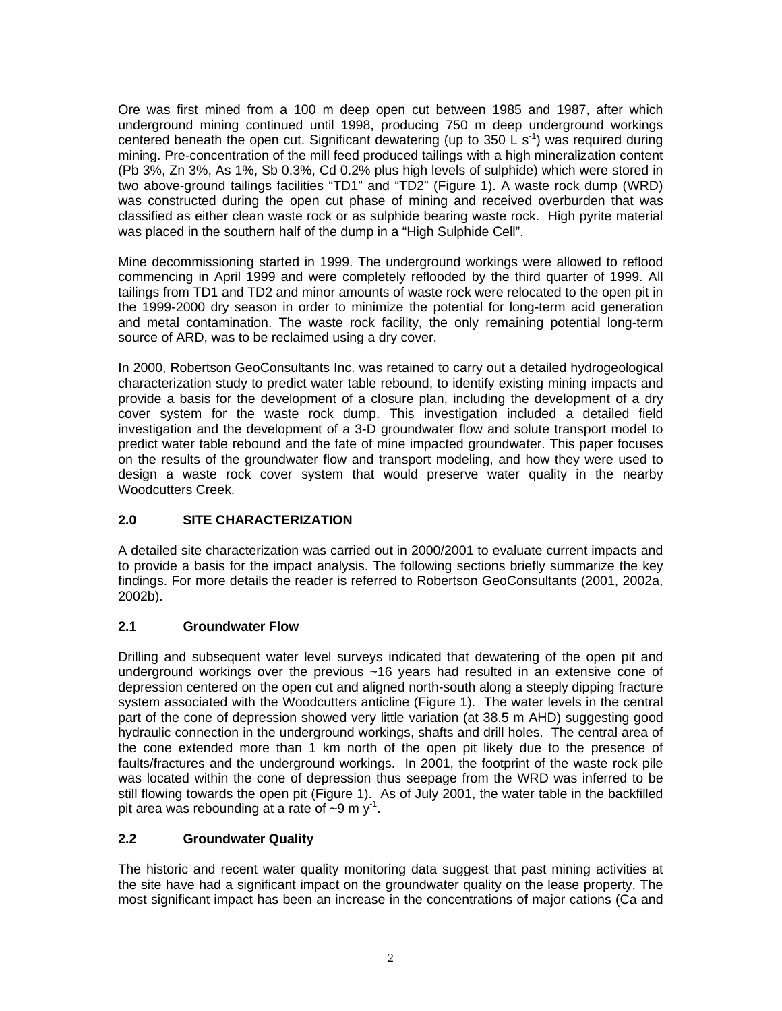Ore was first mined from a 100 m deep open cut between 1985 and 1987, after which underground mining continued until 1998, producing 750 m deep underground workings centered beneath the open cut. Significant dewatering (up to 350 L s<sup>-1</sup>) was required during mining. Pre-concentration of the mill feed produced tailings with a high mineralization content (Pb 3%, Zn 3%, As 1%, Sb 0.3%, Cd 0.2% plus high levels of sulphide) which were stored in two above-ground tailings facilities "TD1" and "TD2" (Figure 1). A waste rock dump (WRD) was constructed during the open cut phase of mining and received overburden that was classified as either clean waste rock or as sulphide bearing waste rock. High pyrite material was placed in the southern half of the dump in a "High Sulphide Cell".

Mine decommissioning started in 1999. The underground workings were allowed to reflood commencing in April 1999 and were completely reflooded by the third quarter of 1999. All tailings from TD1 and TD2 and minor amounts of waste rock were relocated to the open pit in the 1999-2000 dry season in order to minimize the potential for long-term acid generation and metal contamination. The waste rock facility, the only remaining potential long-term source of ARD, was to be reclaimed using a dry cover.

In 2000, Robertson GeoConsultants Inc. was retained to carry out a detailed hydrogeological characterization study to predict water table rebound, to identify existing mining impacts and provide a basis for the development of a closure plan, including the development of a dry cover system for the waste rock dump. This investigation included a detailed field investigation and the development of a 3-D groundwater flow and solute transport model to predict water table rebound and the fate of mine impacted groundwater. This paper focuses on the results of the groundwater flow and transport modeling, and how they were used to design a waste rock cover system that would preserve water quality in the nearby Woodcutters Creek.

# **2.0 SITE CHARACTERIZATION**

A detailed site characterization was carried out in 2000/2001 to evaluate current impacts and to provide a basis for the impact analysis. The following sections briefly summarize the key findings. For more details the reader is referred to Robertson GeoConsultants (2001, 2002a, 2002b).

# **2.1 Groundwater Flow**

Drilling and subsequent water level surveys indicated that dewatering of the open pit and underground workings over the previous ~16 years had resulted in an extensive cone of depression centered on the open cut and aligned north-south along a steeply dipping fracture system associated with the Woodcutters anticline (Figure 1). The water levels in the central part of the cone of depression showed very little variation (at 38.5 m AHD) suggesting good hydraulic connection in the underground workings, shafts and drill holes. The central area of the cone extended more than 1 km north of the open pit likely due to the presence of faults/fractures and the underground workings. In 2001, the footprint of the waste rock pile was located within the cone of depression thus seepage from the WRD was inferred to be still flowing towards the open pit (Figure 1). As of July 2001, the water table in the backfilled pit area was rebounding at a rate of  $\sim$ 9 m y<sup>-1</sup>.

# **2.2 Groundwater Quality**

The historic and recent water quality monitoring data suggest that past mining activities at the site have had a significant impact on the groundwater quality on the lease property. The most significant impact has been an increase in the concentrations of major cations (Ca and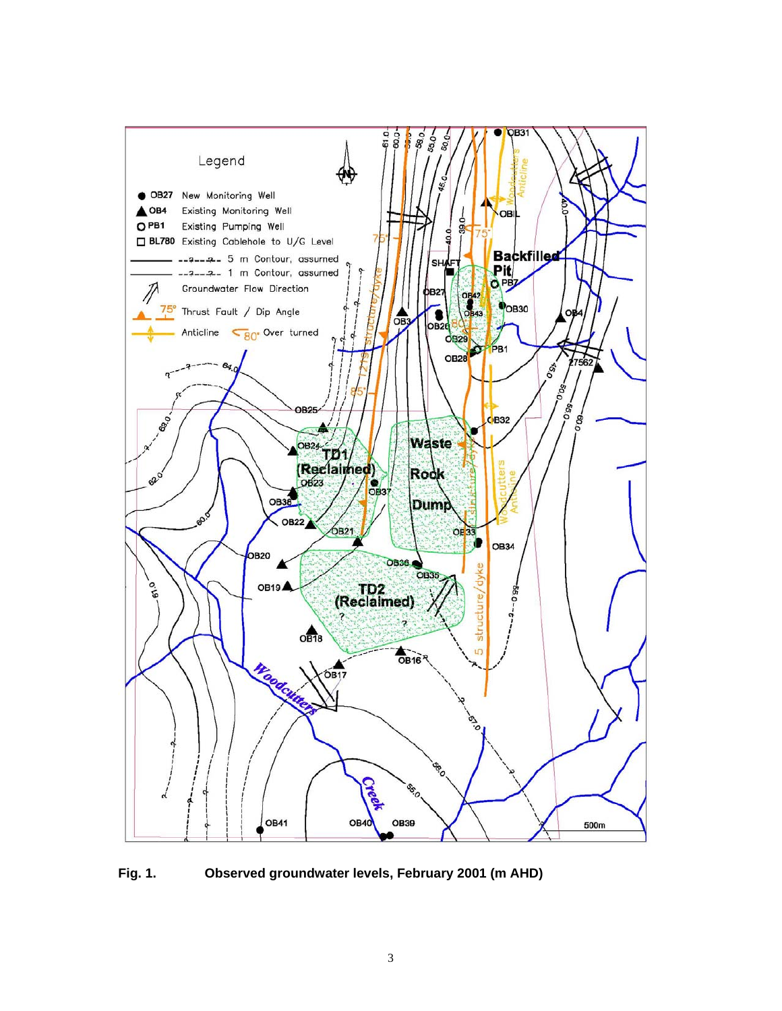

**Fig. 1. Observed groundwater levels, February 2001 (m AHD)**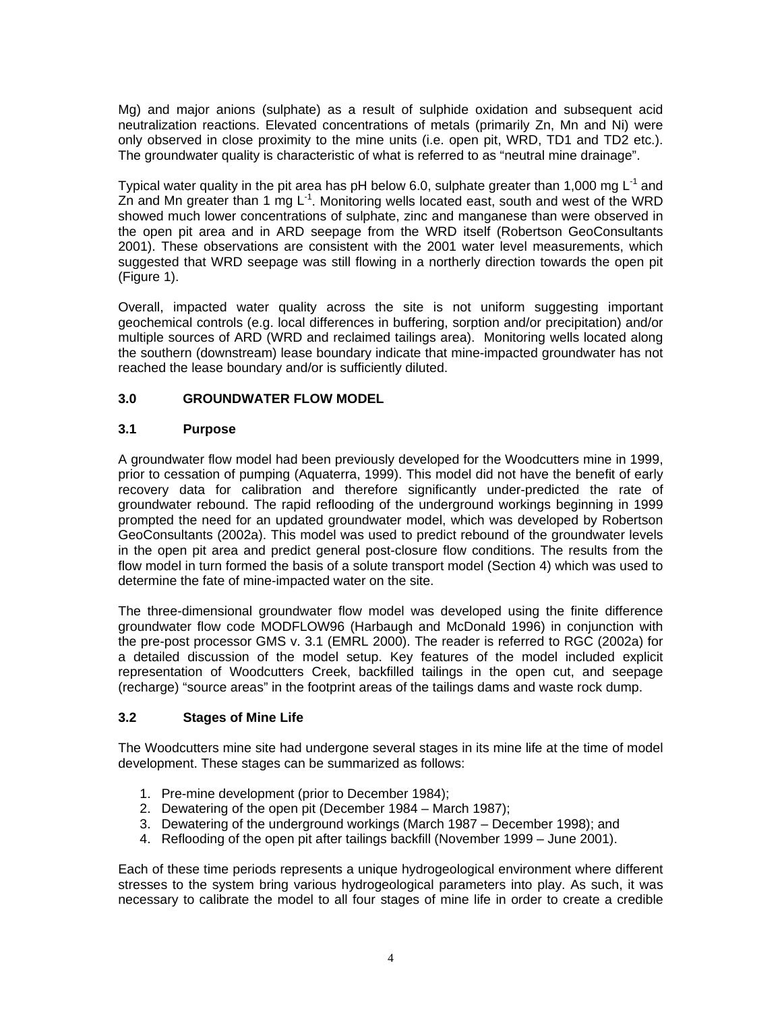Mg) and major anions (sulphate) as a result of sulphide oxidation and subsequent acid neutralization reactions. Elevated concentrations of metals (primarily Zn, Mn and Ni) were only observed in close proximity to the mine units (i.e. open pit, WRD, TD1 and TD2 etc.). The groundwater quality is characteristic of what is referred to as "neutral mine drainage".

Typical water quality in the pit area has pH below 6.0, sulphate greater than 1,000 mg  $L^{-1}$  and Zn and Mn greater than 1 mg  $L^{-1}$ . Monitoring wells located east, south and west of the WRD showed much lower concentrations of sulphate, zinc and manganese than were observed in the open pit area and in ARD seepage from the WRD itself (Robertson GeoConsultants 2001). These observations are consistent with the 2001 water level measurements, which suggested that WRD seepage was still flowing in a northerly direction towards the open pit (Figure 1).

Overall, impacted water quality across the site is not uniform suggesting important geochemical controls (e.g. local differences in buffering, sorption and/or precipitation) and/or multiple sources of ARD (WRD and reclaimed tailings area). Monitoring wells located along the southern (downstream) lease boundary indicate that mine-impacted groundwater has not reached the lease boundary and/or is sufficiently diluted.

# **3.0 GROUNDWATER FLOW MODEL**

# **3.1 Purpose**

A groundwater flow model had been previously developed for the Woodcutters mine in 1999, prior to cessation of pumping (Aquaterra, 1999). This model did not have the benefit of early recovery data for calibration and therefore significantly under-predicted the rate of groundwater rebound. The rapid reflooding of the underground workings beginning in 1999 prompted the need for an updated groundwater model, which was developed by Robertson GeoConsultants (2002a). This model was used to predict rebound of the groundwater levels in the open pit area and predict general post-closure flow conditions. The results from the flow model in turn formed the basis of a solute transport model (Section 4) which was used to determine the fate of mine-impacted water on the site.

The three-dimensional groundwater flow model was developed using the finite difference groundwater flow code MODFLOW96 (Harbaugh and McDonald 1996) in conjunction with the pre-post processor GMS v. 3.1 (EMRL 2000). The reader is referred to RGC (2002a) for a detailed discussion of the model setup. Key features of the model included explicit representation of Woodcutters Creek, backfilled tailings in the open cut, and seepage (recharge) "source areas" in the footprint areas of the tailings dams and waste rock dump.

# **3.2 Stages of Mine Life**

The Woodcutters mine site had undergone several stages in its mine life at the time of model development. These stages can be summarized as follows:

- 1. Pre-mine development (prior to December 1984);
- 2. Dewatering of the open pit (December 1984 March 1987);
- 3. Dewatering of the underground workings (March 1987 December 1998); and
- 4. Reflooding of the open pit after tailings backfill (November 1999 June 2001).

Each of these time periods represents a unique hydrogeological environment where different stresses to the system bring various hydrogeological parameters into play. As such, it was necessary to calibrate the model to all four stages of mine life in order to create a credible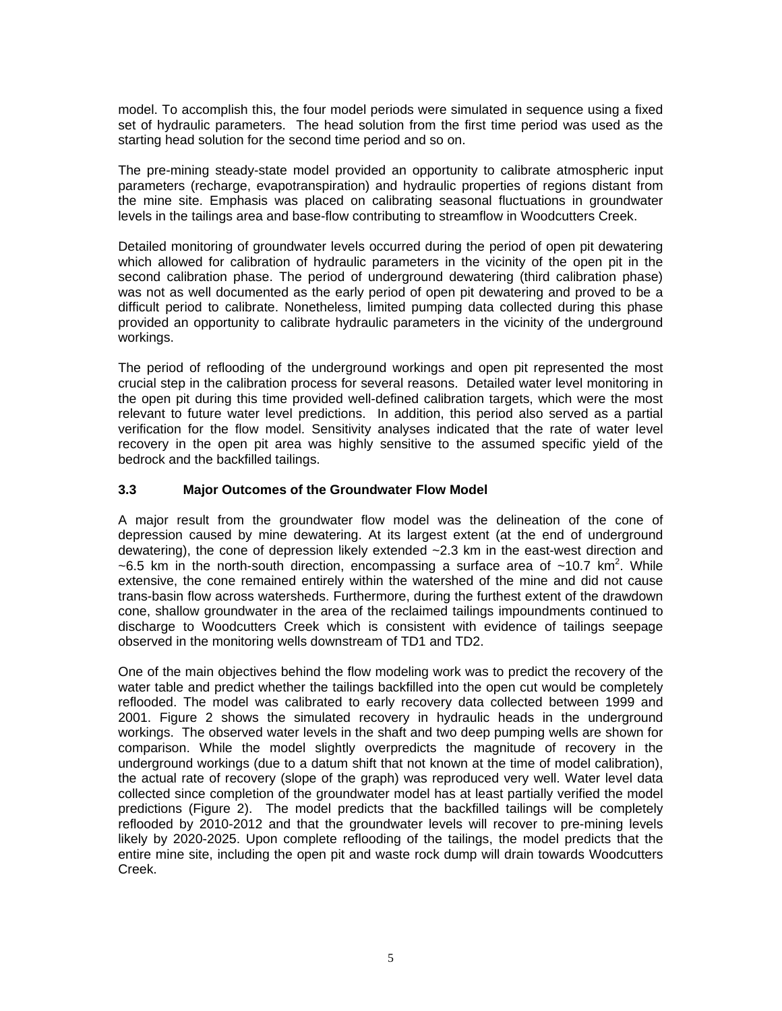model. To accomplish this, the four model periods were simulated in sequence using a fixed set of hydraulic parameters. The head solution from the first time period was used as the starting head solution for the second time period and so on.

The pre-mining steady-state model provided an opportunity to calibrate atmospheric input parameters (recharge, evapotranspiration) and hydraulic properties of regions distant from the mine site. Emphasis was placed on calibrating seasonal fluctuations in groundwater levels in the tailings area and base-flow contributing to streamflow in Woodcutters Creek.

Detailed monitoring of groundwater levels occurred during the period of open pit dewatering which allowed for calibration of hydraulic parameters in the vicinity of the open pit in the second calibration phase. The period of underground dewatering (third calibration phase) was not as well documented as the early period of open pit dewatering and proved to be a difficult period to calibrate. Nonetheless, limited pumping data collected during this phase provided an opportunity to calibrate hydraulic parameters in the vicinity of the underground workings.

The period of reflooding of the underground workings and open pit represented the most crucial step in the calibration process for several reasons. Detailed water level monitoring in the open pit during this time provided well-defined calibration targets, which were the most relevant to future water level predictions. In addition, this period also served as a partial verification for the flow model. Sensitivity analyses indicated that the rate of water level recovery in the open pit area was highly sensitive to the assumed specific yield of the bedrock and the backfilled tailings.

# **3.3 Major Outcomes of the Groundwater Flow Model**

A major result from the groundwater flow model was the delineation of the cone of depression caused by mine dewatering. At its largest extent (at the end of underground dewatering), the cone of depression likely extended ~2.3 km in the east-west direction and  $\sim$  6.5 km in the north-south direction, encompassing a surface area of  $\sim$  10.7 km<sup>2</sup>. While extensive, the cone remained entirely within the watershed of the mine and did not cause trans-basin flow across watersheds. Furthermore, during the furthest extent of the drawdown cone, shallow groundwater in the area of the reclaimed tailings impoundments continued to discharge to Woodcutters Creek which is consistent with evidence of tailings seepage observed in the monitoring wells downstream of TD1 and TD2.

One of the main objectives behind the flow modeling work was to predict the recovery of the water table and predict whether the tailings backfilled into the open cut would be completely reflooded. The model was calibrated to early recovery data collected between 1999 and 2001. Figure 2 shows the simulated recovery in hydraulic heads in the underground workings. The observed water levels in the shaft and two deep pumping wells are shown for comparison. While the model slightly overpredicts the magnitude of recovery in the underground workings (due to a datum shift that not known at the time of model calibration), the actual rate of recovery (slope of the graph) was reproduced very well. Water level data collected since completion of the groundwater model has at least partially verified the model predictions (Figure 2). The model predicts that the backfilled tailings will be completely reflooded by 2010-2012 and that the groundwater levels will recover to pre-mining levels likely by 2020-2025. Upon complete reflooding of the tailings, the model predicts that the entire mine site, including the open pit and waste rock dump will drain towards Woodcutters Creek.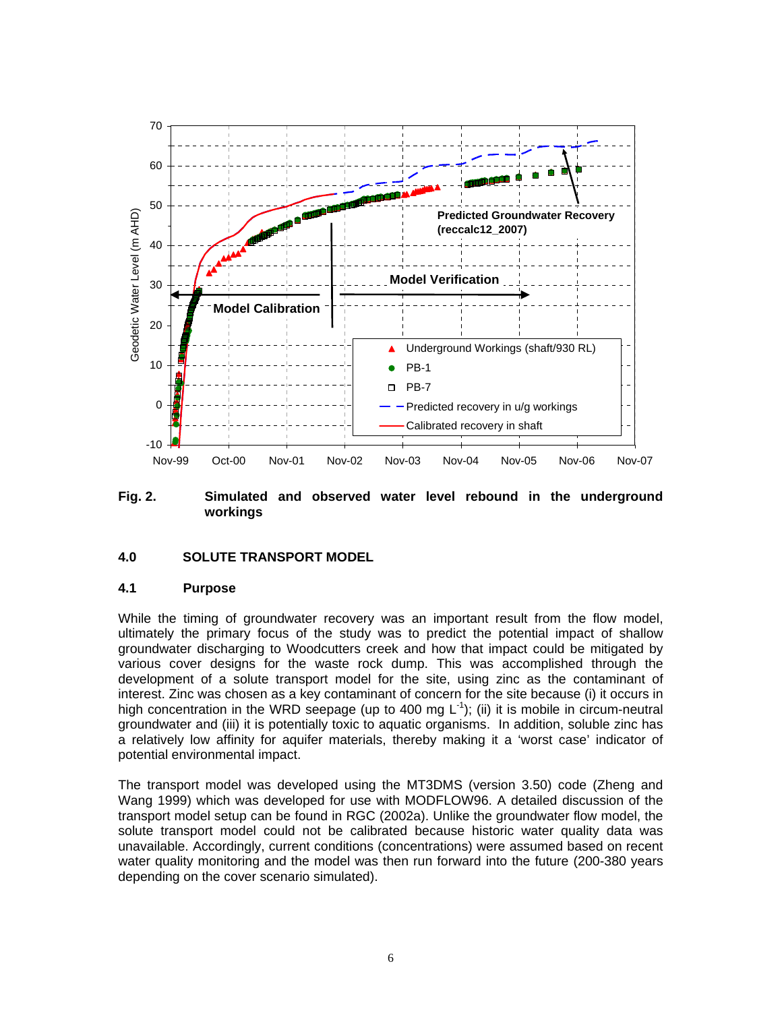

**Fig. 2. Simulated and observed water level rebound in the underground workings** 

#### **4.0 SOLUTE TRANSPORT MODEL**

#### **4.1 Purpose**

While the timing of groundwater recovery was an important result from the flow model, ultimately the primary focus of the study was to predict the potential impact of shallow groundwater discharging to Woodcutters creek and how that impact could be mitigated by various cover designs for the waste rock dump. This was accomplished through the development of a solute transport model for the site, using zinc as the contaminant of interest. Zinc was chosen as a key contaminant of concern for the site because (i) it occurs in high concentration in the WRD seepage (up to 400 mg  $L^{-1}$ ); (ii) it is mobile in circum-neutral groundwater and (iii) it is potentially toxic to aquatic organisms. In addition, soluble zinc has a relatively low affinity for aquifer materials, thereby making it a 'worst case' indicator of potential environmental impact.

The transport model was developed using the MT3DMS (version 3.50) code (Zheng and Wang 1999) which was developed for use with MODFLOW96. A detailed discussion of the transport model setup can be found in RGC (2002a). Unlike the groundwater flow model, the solute transport model could not be calibrated because historic water quality data was unavailable. Accordingly, current conditions (concentrations) were assumed based on recent water quality monitoring and the model was then run forward into the future (200-380 years depending on the cover scenario simulated).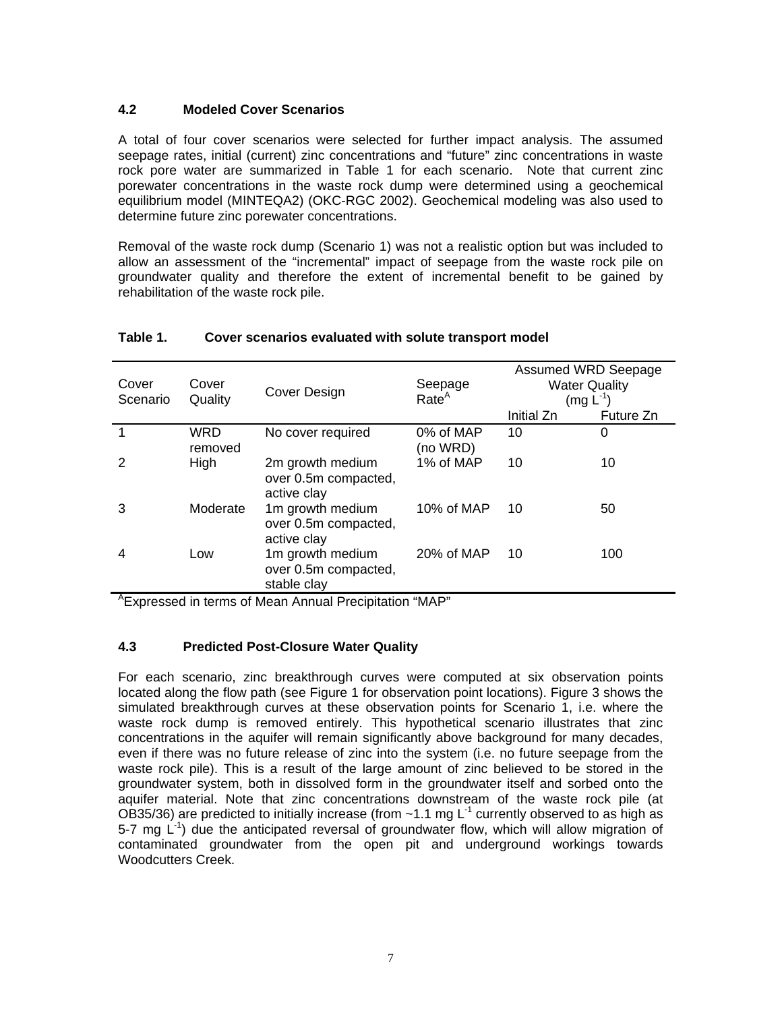# **4.2 Modeled Cover Scenarios**

A total of four cover scenarios were selected for further impact analysis. The assumed seepage rates, initial (current) zinc concentrations and "future" zinc concentrations in waste rock pore water are summarized in Table 1 for each scenario. Note that current zinc porewater concentrations in the waste rock dump were determined using a geochemical equilibrium model (MINTEQA2) (OKC-RGC 2002). Geochemical modeling was also used to determine future zinc porewater concentrations.

Removal of the waste rock dump (Scenario 1) was not a realistic option but was included to allow an assessment of the "incremental" impact of seepage from the waste rock pile on groundwater quality and therefore the extent of incremental benefit to be gained by rehabilitation of the waste rock pile.

| Cover<br>Scenario | Cover<br>Quality | Cover Design                                            | Seepage<br>Rate <sup>A</sup> | Assumed WRD Seepage<br><b>Water Quality</b><br>$(mg L^{-1})$ |           |
|-------------------|------------------|---------------------------------------------------------|------------------------------|--------------------------------------------------------------|-----------|
|                   |                  |                                                         |                              | Initial Zn                                                   | Future Zn |
| 1                 | WRD<br>removed   | No cover required                                       | 0% of MAP<br>(no WRD)        | 10                                                           | 0         |
| 2                 | High             | 2m growth medium<br>over 0.5m compacted,<br>active clay | 1% of MAP                    | 10                                                           | 10        |
| 3                 | Moderate         | 1m growth medium<br>over 0.5m compacted,<br>active clay | 10% of MAP                   | 10                                                           | 50        |
| 4                 | Low              | 1m growth medium<br>over 0.5m compacted,<br>stable clay | 20% of MAP                   | 10                                                           | 100       |

# **Table 1. Cover scenarios evaluated with solute transport model**

<sup>A</sup>Expressed in terms of Mean Annual Precipitation "MAP"

# **4.3 Predicted Post-Closure Water Quality**

For each scenario, zinc breakthrough curves were computed at six observation points located along the flow path (see Figure 1 for observation point locations). Figure 3 shows the simulated breakthrough curves at these observation points for Scenario 1, i.e. where the waste rock dump is removed entirely. This hypothetical scenario illustrates that zinc concentrations in the aquifer will remain significantly above background for many decades, even if there was no future release of zinc into the system (i.e. no future seepage from the waste rock pile). This is a result of the large amount of zinc believed to be stored in the groundwater system, both in dissolved form in the groundwater itself and sorbed onto the aquifer material. Note that zinc concentrations downstream of the waste rock pile (at OB35/36) are predicted to initially increase (from  $~1.1$  mg L<sup>-1</sup> currently observed to as high as 5-7 mg  $L^{-1}$ ) due the anticipated reversal of groundwater flow, which will allow migration of contaminated groundwater from the open pit and underground workings towards Woodcutters Creek.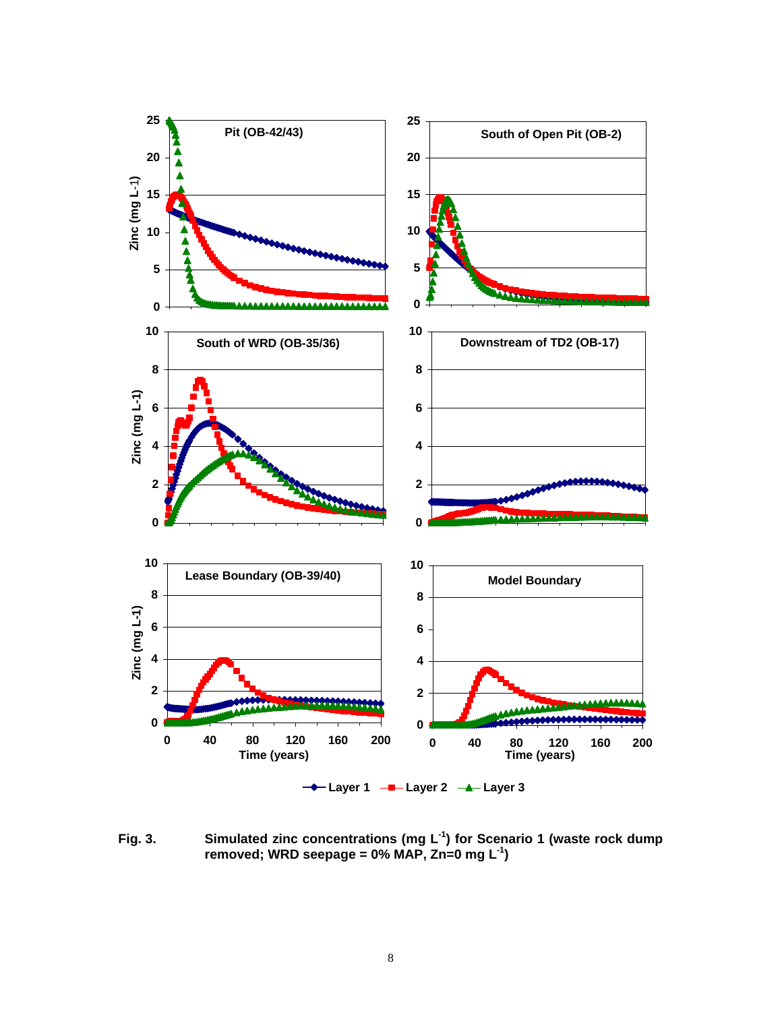

**Fig. 3. Simulated zinc concentrations (mg L-1) for Scenario 1 (waste rock dump removed; WRD seepage = 0% MAP, Zn=0 mg L-1)**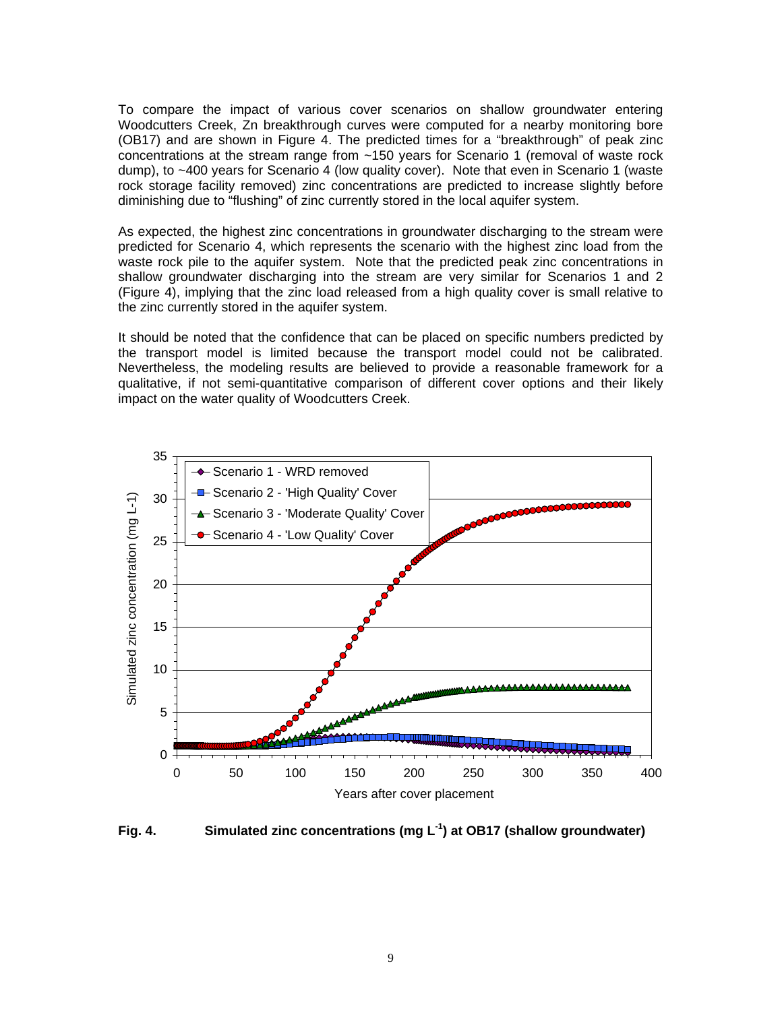To compare the impact of various cover scenarios on shallow groundwater entering Woodcutters Creek, Zn breakthrough curves were computed for a nearby monitoring bore (OB17) and are shown in Figure 4. The predicted times for a "breakthrough" of peak zinc concentrations at the stream range from ~150 years for Scenario 1 (removal of waste rock dump), to ~400 years for Scenario 4 (low quality cover). Note that even in Scenario 1 (waste rock storage facility removed) zinc concentrations are predicted to increase slightly before diminishing due to "flushing" of zinc currently stored in the local aquifer system.

As expected, the highest zinc concentrations in groundwater discharging to the stream were predicted for Scenario 4, which represents the scenario with the highest zinc load from the waste rock pile to the aquifer system. Note that the predicted peak zinc concentrations in shallow groundwater discharging into the stream are very similar for Scenarios 1 and 2 (Figure 4), implying that the zinc load released from a high quality cover is small relative to the zinc currently stored in the aquifer system.

It should be noted that the confidence that can be placed on specific numbers predicted by the transport model is limited because the transport model could not be calibrated. Nevertheless, the modeling results are believed to provide a reasonable framework for a qualitative, if not semi-quantitative comparison of different cover options and their likely impact on the water quality of Woodcutters Creek.



**Fig. 4. Simulated zinc concentrations (mg L-1) at OB17 (shallow groundwater)**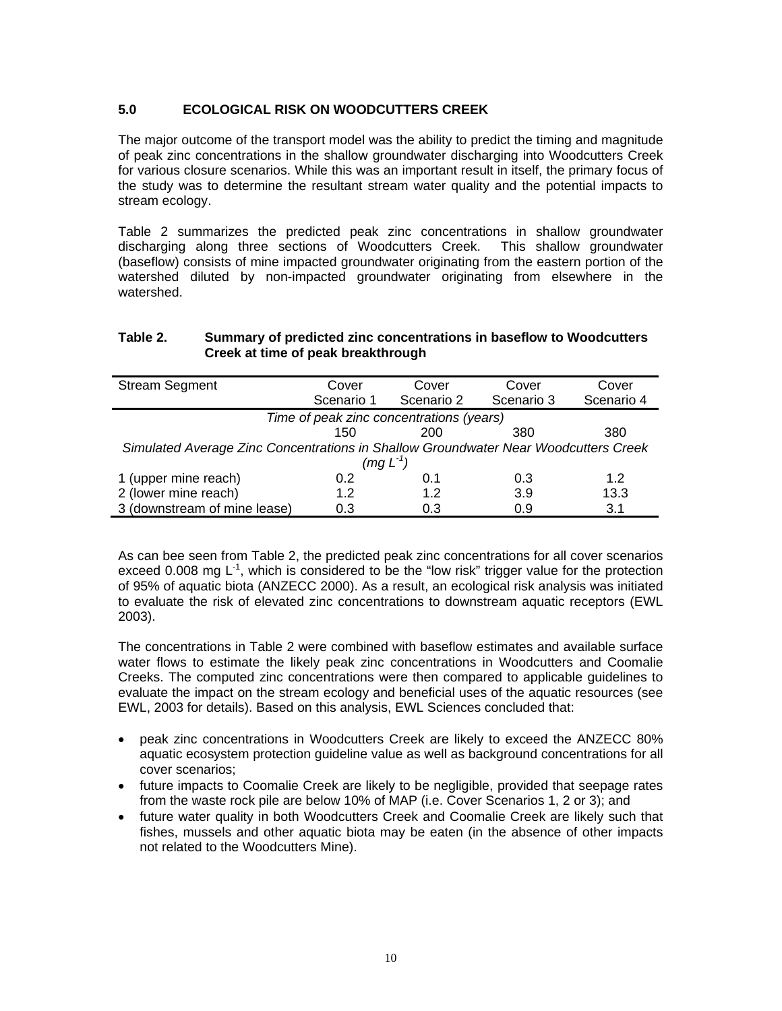# **5.0 ECOLOGICAL RISK ON WOODCUTTERS CREEK**

The major outcome of the transport model was the ability to predict the timing and magnitude of peak zinc concentrations in the shallow groundwater discharging into Woodcutters Creek for various closure scenarios. While this was an important result in itself, the primary focus of the study was to determine the resultant stream water quality and the potential impacts to stream ecology.

Table 2 summarizes the predicted peak zinc concentrations in shallow groundwater discharging along three sections of Woodcutters Creek. This shallow groundwater (baseflow) consists of mine impacted groundwater originating from the eastern portion of the watershed diluted by non-impacted groundwater originating from elsewhere in the watershed.

#### **Table 2. Summary of predicted zinc concentrations in baseflow to Woodcutters Creek at time of peak breakthrough**

| <b>Stream Segment</b>                                                               | Cover      | Cover      | Cover      | Cover      |  |  |  |  |
|-------------------------------------------------------------------------------------|------------|------------|------------|------------|--|--|--|--|
|                                                                                     | Scenario 1 | Scenario 2 | Scenario 3 | Scenario 4 |  |  |  |  |
| Time of peak zinc concentrations (years)                                            |            |            |            |            |  |  |  |  |
|                                                                                     | 150        | 200        | 380        | 380        |  |  |  |  |
| Simulated Average Zinc Concentrations in Shallow Groundwater Near Woodcutters Creek |            |            |            |            |  |  |  |  |
| (mg L <sup>-1</sup> )                                                               |            |            |            |            |  |  |  |  |
| 1 (upper mine reach)                                                                | 0.2        | 0.1        | 0.3        | 1.2        |  |  |  |  |
| 2 (lower mine reach)                                                                | 1.2        | 1.2        | 3.9        | 13.3       |  |  |  |  |
| 3 (downstream of mine lease)                                                        | 0.3        | 0.3        | 0.9        | 3.1        |  |  |  |  |

As can bee seen from Table 2, the predicted peak zinc concentrations for all cover scenarios exceed 0.008 mg  $L^{-1}$ , which is considered to be the "low risk" trigger value for the protection of 95% of aquatic biota (ANZECC 2000). As a result, an ecological risk analysis was initiated to evaluate the risk of elevated zinc concentrations to downstream aquatic receptors (EWL 2003).

The concentrations in Table 2 were combined with baseflow estimates and available surface water flows to estimate the likely peak zinc concentrations in Woodcutters and Coomalie Creeks. The computed zinc concentrations were then compared to applicable guidelines to evaluate the impact on the stream ecology and beneficial uses of the aquatic resources (see EWL, 2003 for details). Based on this analysis, EWL Sciences concluded that:

- peak zinc concentrations in Woodcutters Creek are likely to exceed the ANZECC 80% aquatic ecosystem protection guideline value as well as background concentrations for all cover scenarios;
- future impacts to Coomalie Creek are likely to be negligible, provided that seepage rates from the waste rock pile are below 10% of MAP (i.e. Cover Scenarios 1, 2 or 3); and
- future water quality in both Woodcutters Creek and Coomalie Creek are likely such that fishes, mussels and other aquatic biota may be eaten (in the absence of other impacts not related to the Woodcutters Mine).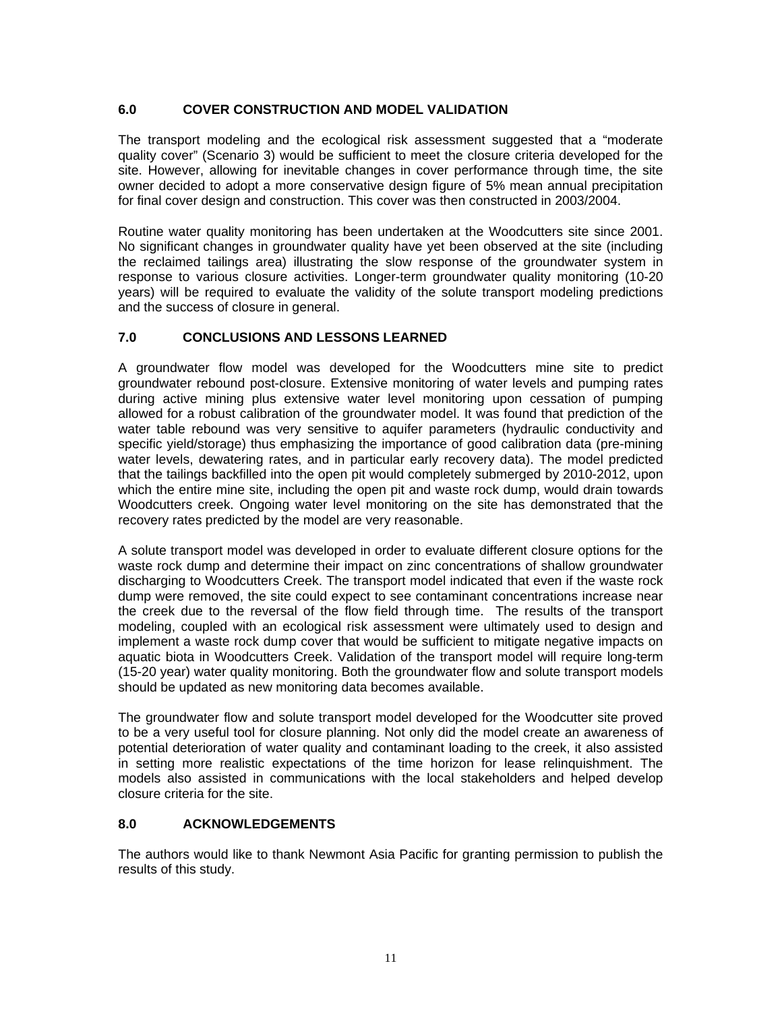# **6.0 COVER CONSTRUCTION AND MODEL VALIDATION**

The transport modeling and the ecological risk assessment suggested that a "moderate quality cover" (Scenario 3) would be sufficient to meet the closure criteria developed for the site. However, allowing for inevitable changes in cover performance through time, the site owner decided to adopt a more conservative design figure of 5% mean annual precipitation for final cover design and construction. This cover was then constructed in 2003/2004.

Routine water quality monitoring has been undertaken at the Woodcutters site since 2001. No significant changes in groundwater quality have yet been observed at the site (including the reclaimed tailings area) illustrating the slow response of the groundwater system in response to various closure activities. Longer-term groundwater quality monitoring (10-20 years) will be required to evaluate the validity of the solute transport modeling predictions and the success of closure in general.

# **7.0 CONCLUSIONS AND LESSONS LEARNED**

A groundwater flow model was developed for the Woodcutters mine site to predict groundwater rebound post-closure. Extensive monitoring of water levels and pumping rates during active mining plus extensive water level monitoring upon cessation of pumping allowed for a robust calibration of the groundwater model. It was found that prediction of the water table rebound was very sensitive to aquifer parameters (hydraulic conductivity and specific yield/storage) thus emphasizing the importance of good calibration data (pre-mining water levels, dewatering rates, and in particular early recovery data). The model predicted that the tailings backfilled into the open pit would completely submerged by 2010-2012, upon which the entire mine site, including the open pit and waste rock dump, would drain towards Woodcutters creek. Ongoing water level monitoring on the site has demonstrated that the recovery rates predicted by the model are very reasonable.

A solute transport model was developed in order to evaluate different closure options for the waste rock dump and determine their impact on zinc concentrations of shallow groundwater discharging to Woodcutters Creek. The transport model indicated that even if the waste rock dump were removed, the site could expect to see contaminant concentrations increase near the creek due to the reversal of the flow field through time. The results of the transport modeling, coupled with an ecological risk assessment were ultimately used to design and implement a waste rock dump cover that would be sufficient to mitigate negative impacts on aquatic biota in Woodcutters Creek. Validation of the transport model will require long-term (15-20 year) water quality monitoring. Both the groundwater flow and solute transport models should be updated as new monitoring data becomes available.

The groundwater flow and solute transport model developed for the Woodcutter site proved to be a very useful tool for closure planning. Not only did the model create an awareness of potential deterioration of water quality and contaminant loading to the creek, it also assisted in setting more realistic expectations of the time horizon for lease relinquishment. The models also assisted in communications with the local stakeholders and helped develop closure criteria for the site.

# **8.0 ACKNOWLEDGEMENTS**

The authors would like to thank Newmont Asia Pacific for granting permission to publish the results of this study.